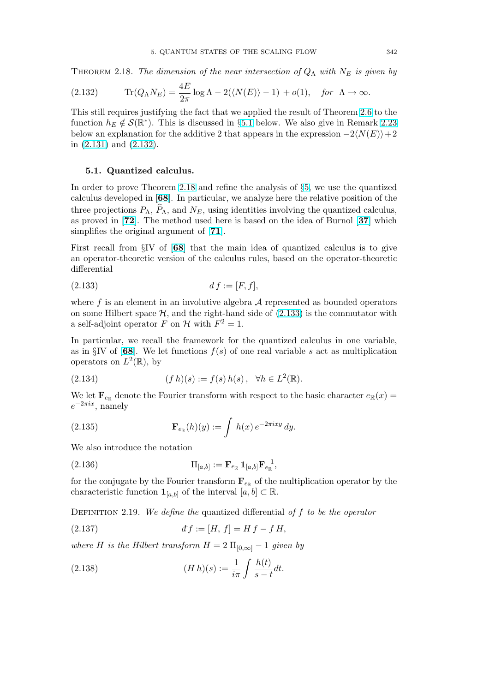<span id="page-0-0"></span>THEOREM 2.18. The dimension of the near intersection of  $Q_{\Lambda}$  with  $N_E$  is given by

(2.132) 
$$
\text{Tr}(Q_{\Lambda}N_E) = \frac{4E}{2\pi}\log\Lambda - 2(\langle N(E) \rangle - 1) + o(1), \text{ for } \Lambda \to \infty.
$$

This still requires justifying the fact that we applied the result of Theorem [2.6](#page--1-0) to the function  $h_E \notin \mathcal{S}(\mathbb{R}^*)$ . This is discussed in §5.1 below. We also give in Remark [2.23](#page--1-0) below an explanation for the additive 2 that appears in the expression  $-2\langle N(E)\rangle+2$ in [\(2.131\)](#page--1-0) and (2.132).

## 5.1. Quantized calculus.

In order to prove Theorem [2.18](#page--1-0) and refine the analysis of §[5,](#page--1-0) we use the quantized calculus developed in [[68](#page--1-0)]. In particular, we analyze here the relative position of the three projections  $P_{\Lambda}$ ,  $\hat{P}_{\Lambda}$ , and  $N_E$ , using identities involving the quantized calculus, as proved in [[72](#page--1-0)]. The method used here is based on the idea of Burnol [[37](#page--1-0)] which simplifies the original argument of [[71](#page--1-0)].

First recall from §IV of [[68](#page--1-0)] that the main idea of quantized calculus is to give an operator-theoretic version of the calculus rules, based on the operator-theoretic differential

$$
(2.133) \t df := [F, f],
$$

where  $f$  is an element in an involutive algebra  $A$  represented as bounded operators on some Hilbert space  $H$ , and the right-hand side of  $(2.133)$  is the commutator with a self-adjoint operator F on H with  $F^2 = 1$ .

In particular, we recall the framework for the quantized calculus in one variable, as in §IV of [[68](#page--1-0)]. We let functions  $f(s)$  of one real variable s act as multiplication operators on  $L^2(\mathbb{R})$ , by

(2.134) 
$$
(f h)(s) := f(s) h(s), \quad \forall h \in L^{2}(\mathbb{R}).
$$

We let  $\mathbf{F}_{e_{\mathbb{R}}}$  denote the Fourier transform with respect to the basic character  $e_{\mathbb{R}}(x) =$  $e^{-2\pi ix}$ , namely

(2.135) 
$$
\mathbf{F}_{e_{\mathbb{R}}}(h)(y) := \int h(x) e^{-2\pi ixy} dy.
$$

We also introduce the notation

(2.136) 
$$
\Pi_{[a,b]} := \mathbf{F}_{e_{\mathbb{R}}} \mathbf{1}_{[a,b]} \mathbf{F}_{e_{\mathbb{R}}}^{-1},
$$

for the conjugate by the Fourier transform  $\mathbf{F}_{e_{\mathbb{R}}}$  of the multiplication operator by the characteristic function  $\mathbf{1}_{[a,b]}$  of the interval  $[a,b] \subset \mathbb{R}$ .

DEFINITION 2.19. We define the quantized differential of  $f$  to be the operator

(2.137) 
$$
df := [H, f] = H f - f H,
$$

where H is the Hilbert transform  $H = 2 \Pi_{[0,\infty]} - 1$  given by

(2.138) 
$$
(H h)(s) := \frac{1}{i\pi} \int \frac{h(t)}{s - t} dt.
$$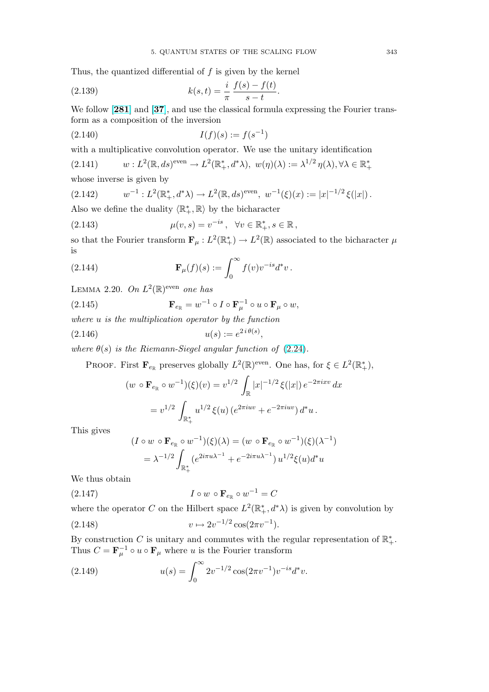<span id="page-1-0"></span>Thus, the quantized differential of  $f$  is given by the kernel

(2.139) 
$$
k(s,t) = \frac{i}{\pi} \frac{f(s) - f(t)}{s - t}.
$$

We follow [[281](#page--1-0)] and [[37](#page--1-0)], and use the classical formula expressing the Fourier transform as a composition of the inversion

$$
(2.140) \t\t I(f)(s) := f(s^{-1})
$$

with a multiplicative convolution operator. We use the unitary identification

(2.141) 
$$
w: L^2(\mathbb{R}, ds)^{\text{even}} \to L^2(\mathbb{R}_+^*, d^*\lambda), w(\eta)(\lambda) := \lambda^{1/2} \eta(\lambda), \forall \lambda \in \mathbb{R}_+^*
$$

whose inverse is given by

$$
(2.142) \t w^{-1}: L^2(\mathbb{R}_+^*, d^*\lambda) \to L^2(\mathbb{R}, ds)^{\text{even}}, \ w^{-1}(\xi)(x) := |x|^{-1/2} \xi(|x|) .
$$

Also we define the duality  $\langle \mathbb{R}^*_+, \mathbb{R} \rangle$  by the bicharacter

(2.143) 
$$
\mu(v,s) = v^{-is}, \ \forall v \in \mathbb{R}^*, s \in \mathbb{R},
$$

so that the Fourier transform  $\mathbf{F}_{\mu}: L^2(\mathbb{R}_+^*) \to L^2(\mathbb{R})$  associated to the bicharacter  $\mu$ is

(2.144) 
$$
\mathbf{F}_{\mu}(f)(s) := \int_0^{\infty} f(v)v^{-is}d^*v.
$$

LEMMA 2.20. On  $L^2(\mathbb{R})^{\text{even}}$  one has

(2.145) 
$$
\mathbf{F}_{e_{\mathbb{R}}} = w^{-1} \circ I \circ \mathbf{F}_{\mu}^{-1} \circ u \circ \mathbf{F}_{\mu} \circ w,
$$

where  $u$  is the multiplication operator by the function

(2.146) 
$$
u(s) := e^{2i\theta(s)}
$$

where  $\theta(s)$  is the Riemann-Siegel angular function of [\(2.24\)](#page--1-0).

PROOF. First  $\mathbf{F}_{e_{\mathbb{R}}}$  preserves globally  $L^2(\mathbb{R})^{\text{even}}$ . One has, for  $\xi \in L^2(\mathbb{R}_+^*),$ 

,

$$
(w \circ \mathbf{F}_{e_{\mathbb{R}}} \circ w^{-1})(\xi)(v) = v^{1/2} \int_{\mathbb{R}} |x|^{-1/2} \xi(|x|) e^{-2\pi i x v} dx
$$
  
=  $v^{1/2} \int_{\mathbb{R}_+^*} u^{1/2} \xi(u) (e^{2\pi i uv} + e^{-2\pi i uv}) d^* u.$ 

This gives

$$
(I \circ w \circ \mathbf{F}_{e_{\mathbb{R}}} \circ w^{-1})(\xi)(\lambda) = (w \circ \mathbf{F}_{e_{\mathbb{R}}} \circ w^{-1})(\xi)(\lambda^{-1})
$$
  
=  $\lambda^{-1/2} \int_{\mathbb{R}^*_{+}} (e^{2i\pi u \lambda^{-1}} + e^{-2i\pi u \lambda^{-1}}) u^{1/2} \xi(u) d^* u$ 

We thus obtain

$$
(2.147) \tI \circ w \circ \mathbf{F}_{e_{\mathbb{R}}} \circ w^{-1} = C
$$

where the operator C on the Hilbert space  $L^2(\mathbb{R}^*, d^*\lambda)$  is given by convolution by

(2.148) 
$$
v \mapsto 2v^{-1/2} \cos(2\pi v^{-1}).
$$

By construction C is unitary and commutes with the regular representation of  $\mathbb{R}^*_+$ . Thus  $C = \mathbf{F}_{\mu}^{-1} \circ u \circ \mathbf{F}_{\mu}$  where u is the Fourier transform

(2.149) 
$$
u(s) = \int_0^\infty 2v^{-1/2} \cos(2\pi v^{-1}) v^{-is} d^* v.
$$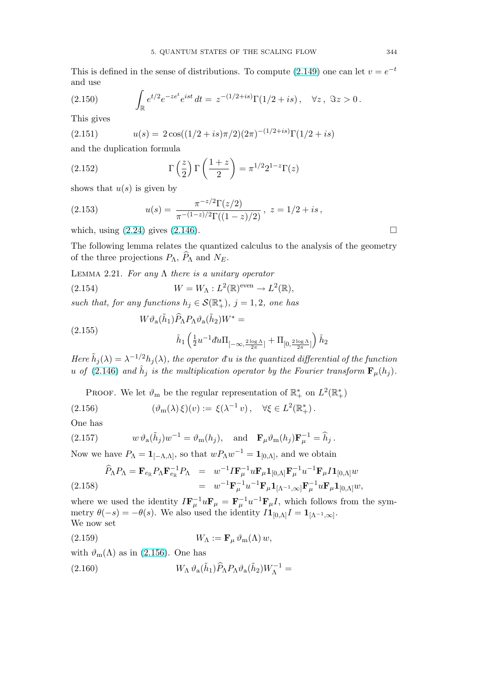<span id="page-2-0"></span>This is defined in the sense of distributions. To compute [\(2.149\)](#page-1-0) one can let  $v = e^{-t}$ and use

(2.150) 
$$
\int_{\mathbb{R}} e^{t/2} e^{-ze^t} e^{ist} dt = z^{-(1/2+is)} \Gamma(1/2+is), \quad \forall z, \ \Im z > 0.
$$

This gives

(2.151) 
$$
u(s) = 2\cos((1/2+is)\pi/2)(2\pi)^{-(1/2+is)}\Gamma(1/2+is)
$$

and the duplication formula

(2.152) 
$$
\Gamma\left(\frac{z}{2}\right)\Gamma\left(\frac{1+z}{2}\right) = \pi^{1/2}2^{1-z}\Gamma(z)
$$

shows that  $u(s)$  is given by

(2.153) 
$$
u(s) = \frac{\pi^{-z/2} \Gamma(z/2)}{\pi^{-(1-z)/2} \Gamma((1-z)/2)}, \ z = 1/2 + is,
$$

which, using  $(2.24)$  gives  $(2.146)$ .

The following lemma relates the quantized calculus to the analysis of the geometry of the three projections  $P_{\Lambda}$ ,  $\widehat{P}_{\Lambda}$  and  $N_E$ .

LEMMA 2.21. For any  $\Lambda$  there is a unitary operator

(2.154) 
$$
W = W_{\Lambda} : L^{2}(\mathbb{R})^{\text{even}} \to L^{2}(\mathbb{R}),
$$

such that, for any functions  $h_j \in \mathcal{S}(\mathbb{R}^*_+)$ ,  $j = 1, 2$ , one has

$$
(2.155)
$$

$$
W\vartheta_a(\tilde{h}_1)\widehat{P}_{\Lambda}P_{\Lambda}\vartheta_a(\tilde{h}_2)W^* =
$$

$$
\hat{h}_1\left(\frac{1}{2}u^{-1}\bar{d}u\Pi_{[-\infty,\frac{2\log\Lambda}{2\pi}]} + \Pi_{[0,\frac{2\log\Lambda}{2\pi}]} \right)\hat{h}_2
$$

Here  $\tilde{h}_j(\lambda) = \lambda^{-1/2} h_j(\lambda)$ , the operator  $\tilde{d}_j$  is the quantized differential of the function u of [\(2.146\)](#page-1-0) and  $\hat{h}_j$  is the multiplication operator by the Fourier transform  $\mathbf{F}_{\mu}(h_j)$ .

PROOF. We let  $\vartheta_m$  be the regular representation of  $\mathbb{R}^*_+$  on  $L^2(\mathbb{R}^*_+)$ 

(2.156) 
$$
(\vartheta_m(\lambda)\xi)(v) := \xi(\lambda^{-1}v), \quad \forall \xi \in L^2(\mathbb{R}^*).
$$

One has

(2.157) 
$$
w \,\vartheta_a(\tilde{h}_j)w^{-1} = \vartheta_m(h_j), \text{ and } \mathbf{F}_{\mu}\vartheta_m(h_j)\mathbf{F}_{\mu}^{-1} = \hat{h}_j.
$$

Now we have  $P_{\Lambda} = \mathbf{1}_{[-\Lambda,\Lambda]},$  so that  $wP_{\Lambda}w^{-1} = \mathbf{1}_{[0,\Lambda]},$  and we obtain

$$
\widehat{P}_{\Lambda} P_{\Lambda} = \mathbf{F}_{e_{\mathbb{R}}} P_{\Lambda} \mathbf{F}_{e_{\mathbb{R}}}^{-1} P_{\Lambda} = w^{-1} I \mathbf{F}_{\mu}^{-1} u \mathbf{F}_{\mu} \mathbf{1}_{[0,\Lambda]} \mathbf{F}_{\mu}^{-1} u^{-1} \mathbf{F}_{\mu} I \mathbf{1}_{[0,\Lambda]} w \n= w^{-1} \mathbf{F}_{\mu}^{-1} u^{-1} \mathbf{F}_{\mu} \mathbf{1}_{[\Lambda^{-1},\infty]} \mathbf{F}_{\mu}^{-1} u \mathbf{F}_{\mu} \mathbf{1}_{[0,\Lambda]} w,
$$

where we used the identity  $I\mathbf{F}_{\mu}^{-1}u\mathbf{F}_{\mu} = \mathbf{F}_{\mu}^{-1}u^{-1}\mathbf{F}_{\mu}I$ , which follows from the symmetry  $\theta(-s) = -\theta(s)$ . We also used the identity  $I\mathbf{1}_{[0,\Lambda]}I = \mathbf{1}_{[\Lambda^{-1},\infty]}$ . We now set

$$
(2.159) \t\t W_{\Lambda} := \mathbf{F}_{\mu} \,\vartheta_{\mathbf{m}}(\Lambda) \, w,
$$

with  $\vartheta_m(\Lambda)$  as in (2.156). One has

(2.160) 
$$
W_{\Lambda} \vartheta_{a}(\tilde{h}_{1}) \widehat{P}_{\Lambda} P_{\Lambda} \vartheta_{a}(\tilde{h}_{2}) W_{\Lambda}^{-1} =
$$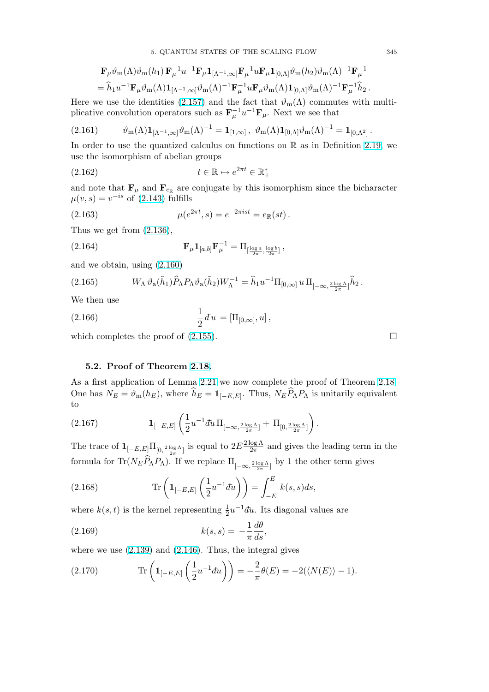$$
\mathbf{F}_{\mu}\vartheta_{\mathbf{m}}(\Lambda)\vartheta_{\mathbf{m}}(h_{1})\,\mathbf{F}_{\mu}^{-1}u^{-1}\mathbf{F}_{\mu}\mathbf{1}_{[\Lambda^{-1},\infty]}\mathbf{F}_{\mu}^{-1}u\mathbf{F}_{\mu}\mathbf{1}_{[0,\Lambda]}\vartheta_{\mathbf{m}}(h_{2})\vartheta_{\mathbf{m}}(\Lambda)^{-1}\mathbf{F}_{\mu}^{-1} \n= \widehat{h}_{1}u^{-1}\mathbf{F}_{\mu}\vartheta_{\mathbf{m}}(\Lambda)\mathbf{1}_{[\Lambda^{-1},\infty]}\vartheta_{\mathbf{m}}(\Lambda)^{-1}\mathbf{F}_{\mu}^{-1}u\mathbf{F}_{\mu}\vartheta_{\mathbf{m}}(\Lambda)\mathbf{1}_{[0,\Lambda]}\vartheta_{\mathbf{m}}(\Lambda)^{-1}\mathbf{F}_{\mu}^{-1}\widehat{h}_{2}.
$$

Here we use the identities [\(2.157\)](#page-2-0) and the fact that  $\vartheta_m(\Lambda)$  commutes with multiplicative convolution operators such as  $\mathbf{F}_{\mu}^{-1}u^{-1}\mathbf{F}_{\mu}$ . Next we see that

$$
(2.161) \t\t \t\t \vartheta_m(\Lambda) \mathbf{1}_{[\Lambda^{-1},\infty]} \vartheta_m(\Lambda)^{-1} = \mathbf{1}_{[1,\infty]} , \ \vartheta_m(\Lambda) \mathbf{1}_{[0,\Lambda]} \vartheta_m(\Lambda)^{-1} = \mathbf{1}_{[0,\Lambda^2]} .
$$

In order to use the quantized calculus on functions on  $\mathbb R$  as in Definition [2.19,](#page-0-0) we use the isomorphism of abelian groups

$$
(2.162) \t t \in \mathbb{R} \mapsto e^{2\pi t} \in \mathbb{R}_+^*
$$

and note that  $\mathbf{F}_{\mu}$  and  $\mathbf{F}_{e_{\mathbb{R}}}$  are conjugate by this isomorphism since the bicharacter  $\mu(v, s) = v^{-is}$  of [\(2.143\)](#page-1-0) fulfills

(2.163) 
$$
\mu(e^{2\pi t}, s) = e^{-2\pi i s t} = e_{\mathbb{R}}(st).
$$

Thus we get from [\(2.136\)](#page-0-0),

(2.164) 
$$
\mathbf{F}_{\mu} \mathbf{1}_{[a,b]} \mathbf{F}_{\mu}^{-1} = \Pi_{\left[\frac{\log a}{2\pi}, \frac{\log b}{2\pi}\right]},
$$

and we obtain, using [\(2.160\)](#page-2-0)

$$
(2.165) \t W_{\Lambda} \vartheta_{\rm a}(\tilde{h}_1) \widehat{P}_{\Lambda} P_{\Lambda} \vartheta_{\rm a}(\tilde{h}_2) W_{\Lambda}^{-1} = \widehat{h}_1 u^{-1} \Pi_{[0,\infty]} u \Pi_{[-\infty,\frac{2\log\Lambda}{2\pi}]} \widehat{h}_2.
$$

We then use

(2.166) 
$$
\frac{1}{2} du = [\Pi_{[0,\infty]}, u],
$$

which completes the proof of  $(2.155)$ .

## 5.2. Proof of Theorem [2.18.](#page--1-0)

As a first application of Lemma [2.21](#page-2-0) we now complete the proof of Theorem [2.18.](#page--1-0) One has  $N_E = \vartheta_m(h_E)$ , where  $\hat{h}_E = \mathbf{1}_{[-E,E]}$ . Thus,  $N_E \hat{P}_{\Lambda} P_{\Lambda}$  is unitarily equivalent to  $\overline{a}$  $\mathbf{r}$ 

(2.167) 
$$
\mathbf{1}_{[-E,E]}\left(\frac{1}{2}u^{-1}du\,\Pi_{[-\infty,\frac{2\log\Lambda}{2\pi}]}+\Pi_{[0,\frac{2\log\Lambda}{2\pi}]}\right).
$$

The trace of  $\mathbf{1}_{[-E,E]} \Pi_{[0, \frac{2 \log \Lambda}{2\pi}]}$  is equal to  $2E \frac{2 \log \Lambda}{2\pi}$  $\frac{\log \Lambda}{2\pi}$  and gives the leading term in the formula for  $\text{Tr}(N_E \widehat{P}_{\Lambda} P_{\Lambda})$ . If we replace  $\Pi_{[-\infty,\frac{2 \log \Lambda}{2\pi}]}$  by 1 the other term gives

(2.168) 
$$
\operatorname{Tr}\left(\mathbf{1}_{[-E,E]}\left(\frac{1}{2}u^{-1}du\right)\right)=\int_{-E}^{E}k(s,s)ds,
$$

where  $k(s,t)$  is the kernel representing  $\frac{1}{2}u^{-1}du$ . Its diagonal values are

(2.169) 
$$
k(s,s) = -\frac{1}{\pi} \frac{d\theta}{ds},
$$

where we use  $(2.139)$  and  $(2.146)$ . Thus, the integral gives

(2.170) 
$$
\operatorname{Tr}\left(\mathbf{1}_{[-E,E]}\left(\frac{1}{2}u^{-1}du\right)\right)=-\frac{2}{\pi}\theta(E)=-2(\langle N(E)\rangle-1).
$$